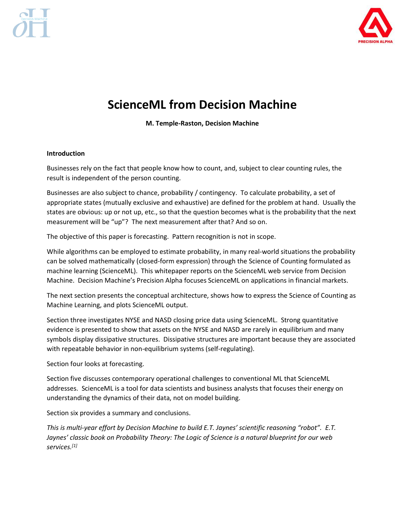

# **ScienceML from Decision Machine**

**M. Temple-Raston, Decision Machine**

### **Introduction**

Businesses rely on the fact that people know how to count, and, subject to clear counting rules, the result is independent of the person counting.

Businesses are also subject to chance, probability / contingency. To calculate probability, a set of appropriate states (mutually exclusive and exhaustive) are defined for the problem at hand. Usually the states are obvious: up or not up, etc., so that the question becomes what is the probability that the next measurement will be "up"? The next measurement after that? And so on.

The objective of this paper is forecasting. Pattern recognition is not in scope.

While algorithms can be employed to estimate probability, in many real-world situations the probability can be solved mathematically (closed-form expression) through the Science of Counting formulated as machine learning (ScienceML). This whitepaper reports on the ScienceML web service from Decision Machine. Decision Machine's Precision Alpha focuses ScienceML on applications in financial markets.

The next section presents the conceptual architecture, shows how to express the Science of Counting as Machine Learning, and plots ScienceML output.

Section three investigates NYSE and NASD closing price data using ScienceML. Strong quantitative evidence is presented to show that assets on the NYSE and NASD are rarely in equilibrium and many symbols display dissipative structures. Dissipative structures are important because they are associated with repeatable behavior in non-equilibrium systems (self-regulating).

Section four looks at forecasting.

Section five discusses contemporary operational challenges to conventional ML that ScienceML addresses. ScienceML is a tool for data scientists and business analysts that focuses their energy on understanding the dynamics of their data, not on model building.

Section six provides a summary and conclusions.

*This is multi-year effort by Decision Machine to build E.T. Jaynes' scientific reasoning "robot". E.T. Jaynes' classic book on Probability Theory: The Logic of Science is a natural blueprint for our web services.[1]*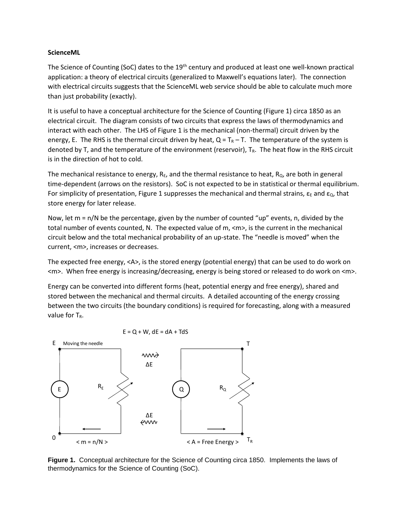#### **ScienceML**

The Science of Counting (SoC) dates to the  $19<sup>th</sup>$  century and produced at least one well-known practical application: a theory of electrical circuits (generalized to Maxwell's equations later). The connection with electrical circuits suggests that the ScienceML web service should be able to calculate much more than just probability (exactly).

It is useful to have a conceptual architecture for the Science of Counting (Figure 1) circa 1850 as an electrical circuit. The diagram consists of two circuits that express the laws of thermodynamics and interact with each other. The LHS of Figure 1 is the mechanical (non-thermal) circuit driven by the energy, E. The RHS is the thermal circuit driven by heat,  $Q = T_R - T$ . The temperature of the system is denoted by T, and the temperature of the environment (reservoir), T<sub>R</sub>. The heat flow in the RHS circuit is in the direction of hot to cold.

The mechanical resistance to energy,  $R_E$ , and the thermal resistance to heat,  $R_{Q}$ , are both in general time-dependent (arrows on the resistors). SoC is not expected to be in statistical or thermal equilibrium. For simplicity of presentation, Figure 1 suppresses the mechanical and thermal strains,  $\epsilon_{E}$  and  $\epsilon_{Q}$ , that store energy for later release.

Now, let  $m = n/N$  be the percentage, given by the number of counted "up" events, n, divided by the total number of events counted, N. The expected value of m, <m>, is the current in the mechanical circuit below and the total mechanical probability of an up-state. The "needle is moved" when the current, <m>, increases or decreases.

The expected free energy, <A>, is the stored energy (potential energy) that can be used to do work on <m>. When free energy is increasing/decreasing, energy is being stored or released to do work on <m>.

Energy can be converted into different forms (heat, potential energy and free energy), shared and stored between the mechanical and thermal circuits. A detailed accounting of the energy crossing between the two circuits (the boundary conditions) is required for forecasting, along with a measured value for  $T_R$ .



**Figure 1.** Conceptual architecture for the Science of Counting circa 1850. Implements the laws of thermodynamics for the Science of Counting (SoC).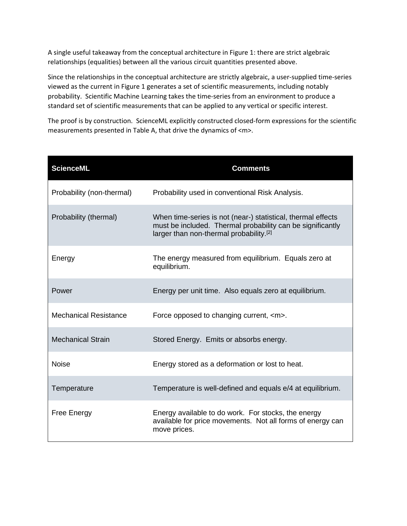A single useful takeaway from the conceptual architecture in Figure 1: there are strict algebraic relationships (equalities) between all the various circuit quantities presented above.

Since the relationships in the conceptual architecture are strictly algebraic, a user-supplied time-series viewed as the current in Figure 1 generates a set of scientific measurements, including notably probability. Scientific Machine Learning takes the time-series from an environment to produce a standard set of scientific measurements that can be applied to any vertical or specific interest.

The proof is by construction. ScienceML explicitly constructed closed-form expressions for the scientific measurements presented in Table A, that drive the dynamics of <m>.

| <b>ScienceML</b>             | <b>Comments</b>                                                                                                                                                       |  |
|------------------------------|-----------------------------------------------------------------------------------------------------------------------------------------------------------------------|--|
| Probability (non-thermal)    | Probability used in conventional Risk Analysis.                                                                                                                       |  |
| Probability (thermal)        | When time-series is not (near-) statistical, thermal effects<br>must be included. Thermal probability can be significantly<br>larger than non-thermal probability.[2] |  |
| Energy                       | The energy measured from equilibrium. Equals zero at<br>equilibrium.                                                                                                  |  |
| Power                        | Energy per unit time. Also equals zero at equilibrium.                                                                                                                |  |
| <b>Mechanical Resistance</b> | Force opposed to changing current, <m>.</m>                                                                                                                           |  |
| <b>Mechanical Strain</b>     | Stored Energy. Emits or absorbs energy.                                                                                                                               |  |
| <b>Noise</b>                 | Energy stored as a deformation or lost to heat.                                                                                                                       |  |
| Temperature                  | Temperature is well-defined and equals e/4 at equilibrium.                                                                                                            |  |
| <b>Free Energy</b>           | Energy available to do work. For stocks, the energy<br>available for price movements. Not all forms of energy can<br>move prices.                                     |  |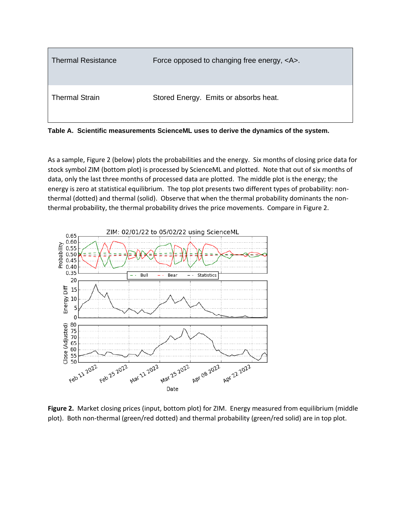

**Table A. Scientific measurements ScienceML uses to derive the dynamics of the system.**

As a sample, Figure 2 (below) plots the probabilities and the energy. Six months of closing price data for stock symbol ZIM (bottom plot) is processed by ScienceML and plotted. Note that out of six months of data, only the last three months of processed data are plotted. The middle plot is the energy; the energy is zero at statistical equilibrium. The top plot presents two different types of probability: nonthermal (dotted) and thermal (solid). Observe that when the thermal probability dominants the nonthermal probability, the thermal probability drives the price movements. Compare in Figure 2.



**Figure 2.** Market closing prices (input, bottom plot) for ZIM. Energy measured from equilibrium (middle plot). Both non-thermal (green/red dotted) and thermal probability (green/red solid) are in top plot.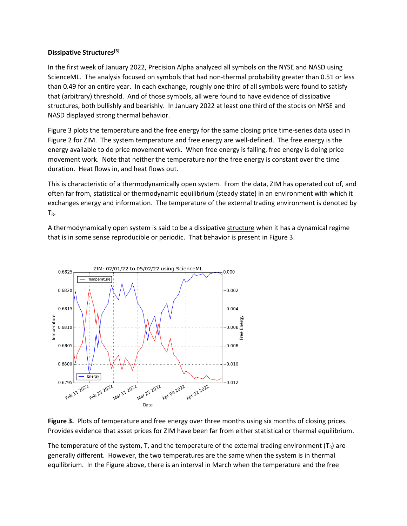### **Dissipative Structures[3]**

In the first week of January 2022, Precision Alpha analyzed all symbols on the NYSE and NASD using ScienceML. The analysis focused on symbols that had non-thermal probability greater than 0.51 or less than 0.49 for an entire year. In each exchange, roughly one third of all symbols were found to satisfy that (arbitrary) threshold. And of those symbols, all were found to have evidence of dissipative structures, both bullishly and bearishly. In January 2022 at least one third of the stocks on NYSE and NASD displayed strong thermal behavior.

Figure 3 plots the temperature and the free energy for the same closing price time-series data used in Figure 2 for ZIM. The system temperature and free energy are well-defined. The free energy is the energy available to do price movement work. When free energy is falling, free energy is doing price movement work. Note that neither the temperature nor the free energy is constant over the time duration. Heat flows in, and heat flows out.

This is characteristic of a thermodynamically open system. From the data, ZIM has operated out of, and often far from, statistical or thermodynamic equilibrium (steady state) in an environment with which it exchanges energy and information. The temperature of the external trading environment is denoted by TR.

A thermodynamically open system is said to be a dissipative structure when it has a dynamical regime that is in some sense reproducible or periodic. That behavior is present in Figure 3.



**Figure 3.** Plots of temperature and free energy over three months using six months of closing prices. Provides evidence that asset prices for ZIM have been far from either statistical or thermal equilibrium.

The temperature of the system, T, and the temperature of the external trading environment  $(T_R)$  are generally different. However, the two temperatures are the same when the system is in thermal equilibrium. In the Figure above, there is an interval in March when the temperature and the free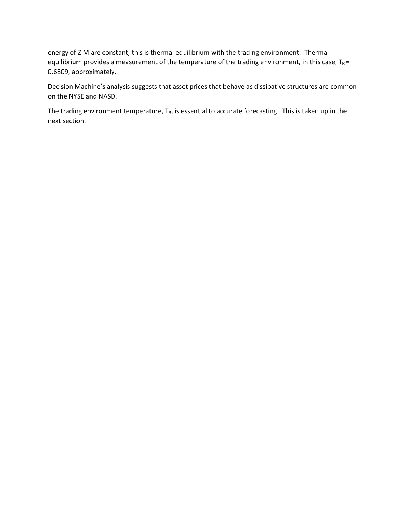energy of ZIM are constant; this is thermal equilibrium with the trading environment. Thermal equilibrium provides a measurement of the temperature of the trading environment, in this case,  $T_R =$ 0.6809, approximately.

Decision Machine's analysis suggests that asset prices that behave as dissipative structures are common on the NYSE and NASD.

The trading environment temperature,  $T_R$ , is essential to accurate forecasting. This is taken up in the next section.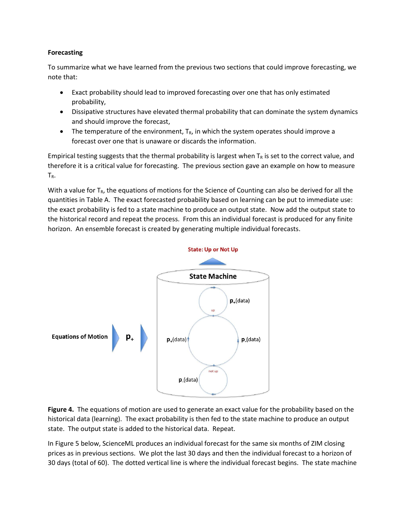## **Forecasting**

To summarize what we have learned from the previous two sections that could improve forecasting, we note that:

- Exact probability should lead to improved forecasting over one that has only estimated probability,
- Dissipative structures have elevated thermal probability that can dominate the system dynamics and should improve the forecast,
- The temperature of the environment,  $T_{R}$ , in which the system operates should improve a forecast over one that is unaware or discards the information.

Empirical testing suggests that the thermal probability is largest when  $T_R$  is set to the correct value, and therefore it is a critical value for forecasting. The previous section gave an example on how to measure TR.

With a value for  $T_R$ , the equations of motions for the Science of Counting can also be derived for all the quantities in Table A. The exact forecasted probability based on learning can be put to immediate use: the exact probability is fed to a state machine to produce an output state. Now add the output state to the historical record and repeat the process. From this an individual forecast is produced for any finite horizon. An ensemble forecast is created by generating multiple individual forecasts.



**Figure 4.** The equations of motion are used to generate an exact value for the probability based on the historical data (learning). The exact probability is then fed to the state machine to produce an output state. The output state is added to the historical data. Repeat.

In Figure 5 below, ScienceML produces an individual forecast for the same six months of ZIM closing prices as in previous sections. We plot the last 30 days and then the individual forecast to a horizon of 30 days (total of 60). The dotted vertical line is where the individual forecast begins. The state machine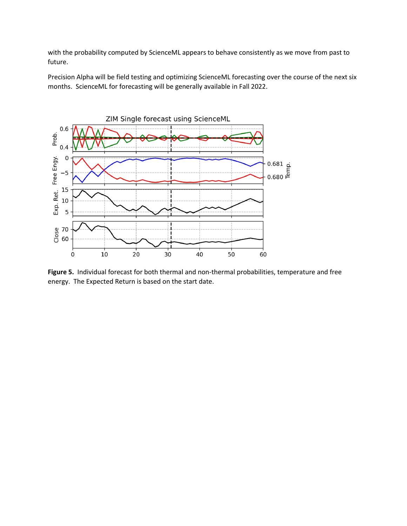with the probability computed by ScienceML appears to behave consistently as we move from past to future.

Precision Alpha will be field testing and optimizing ScienceML forecasting over the course of the next six months. ScienceML for forecasting will be generally available in Fall 2022.



**Figure 5.** Individual forecast for both thermal and non-thermal probabilities, temperature and free energy. The Expected Return is based on the start date.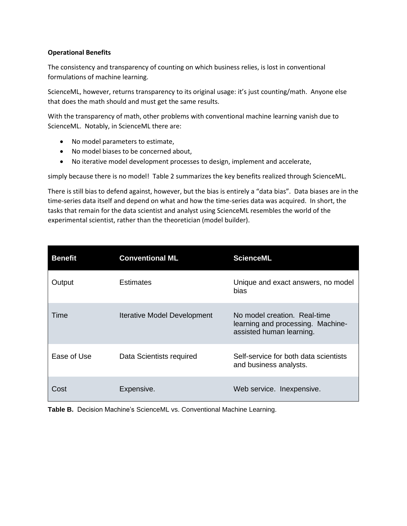### **Operational Benefits**

The consistency and transparency of counting on which business relies, is lost in conventional formulations of machine learning.

ScienceML, however, returns transparency to its original usage: it's just counting/math. Anyone else that does the math should and must get the same results.

With the transparency of math, other problems with conventional machine learning vanish due to ScienceML. Notably, in ScienceML there are:

- No model parameters to estimate,
- No model biases to be concerned about,
- No iterative model development processes to design, implement and accelerate,

simply because there is no model! Table 2 summarizes the key benefits realized through ScienceML.

There is still bias to defend against, however, but the bias is entirely a "data bias". Data biases are in the time-series data itself and depend on what and how the time-series data was acquired. In short, the tasks that remain for the data scientist and analyst using ScienceML resembles the world of the experimental scientist, rather than the theoretician (model builder).

| <b>Benefit</b> | <b>Conventional ML</b>             | <b>ScienceML</b>                                                                              |
|----------------|------------------------------------|-----------------------------------------------------------------------------------------------|
| Output         | Estimates                          | Unique and exact answers, no model<br>bias                                                    |
| Time           | <b>Iterative Model Development</b> | No model creation. Real-time<br>learning and processing. Machine-<br>assisted human learning. |
| Ease of Use    | Data Scientists required           | Self-service for both data scientists<br>and business analysts.                               |
| Cost           | Expensive.                         | Web service. In expensive.                                                                    |

**Table B.** Decision Machine's ScienceML vs. Conventional Machine Learning.